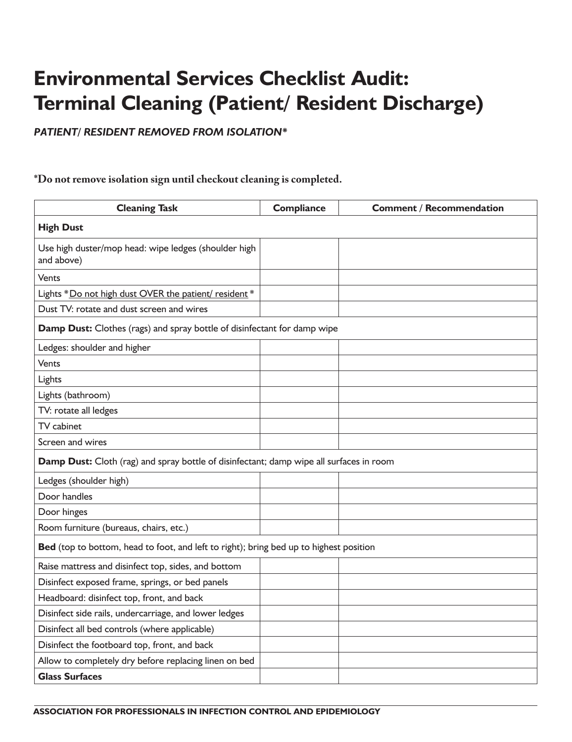## **Environmental Services Checklist Audit: Terminal Cleaning (Patient/ Resident Discharge)**

*PATIENT/ RESIDENT REMOVED FROM ISOLATION\**

## **\*Do not remove isolation sign until checkout cleaning is completed.**

| <b>Cleaning Task</b>                                                                    | <b>Compliance</b> | <b>Comment / Recommendation</b> |  |
|-----------------------------------------------------------------------------------------|-------------------|---------------------------------|--|
| <b>High Dust</b>                                                                        |                   |                                 |  |
| Use high duster/mop head: wipe ledges (shoulder high<br>and above)                      |                   |                                 |  |
| Vents                                                                                   |                   |                                 |  |
| Lights * Do not high dust OVER the patient/ resident *                                  |                   |                                 |  |
| Dust TV: rotate and dust screen and wires                                               |                   |                                 |  |
| Damp Dust: Clothes (rags) and spray bottle of disinfectant for damp wipe                |                   |                                 |  |
| Ledges: shoulder and higher                                                             |                   |                                 |  |
| Vents                                                                                   |                   |                                 |  |
| Lights                                                                                  |                   |                                 |  |
| Lights (bathroom)                                                                       |                   |                                 |  |
| TV: rotate all ledges                                                                   |                   |                                 |  |
| TV cabinet                                                                              |                   |                                 |  |
| Screen and wires                                                                        |                   |                                 |  |
| Damp Dust: Cloth (rag) and spray bottle of disinfectant; damp wipe all surfaces in room |                   |                                 |  |
| Ledges (shoulder high)                                                                  |                   |                                 |  |
| Door handles                                                                            |                   |                                 |  |
| Door hinges                                                                             |                   |                                 |  |
| Room furniture (bureaus, chairs, etc.)                                                  |                   |                                 |  |
| Bed (top to bottom, head to foot, and left to right); bring bed up to highest position  |                   |                                 |  |
| Raise mattress and disinfect top, sides, and bottom                                     |                   |                                 |  |
| Disinfect exposed frame, springs, or bed panels                                         |                   |                                 |  |
| Headboard: disinfect top, front, and back                                               |                   |                                 |  |
| Disinfect side rails, undercarriage, and lower ledges                                   |                   |                                 |  |
| Disinfect all bed controls (where applicable)                                           |                   |                                 |  |
| Disinfect the footboard top, front, and back                                            |                   |                                 |  |
| Allow to completely dry before replacing linen on bed                                   |                   |                                 |  |
| <b>Glass Surfaces</b>                                                                   |                   |                                 |  |